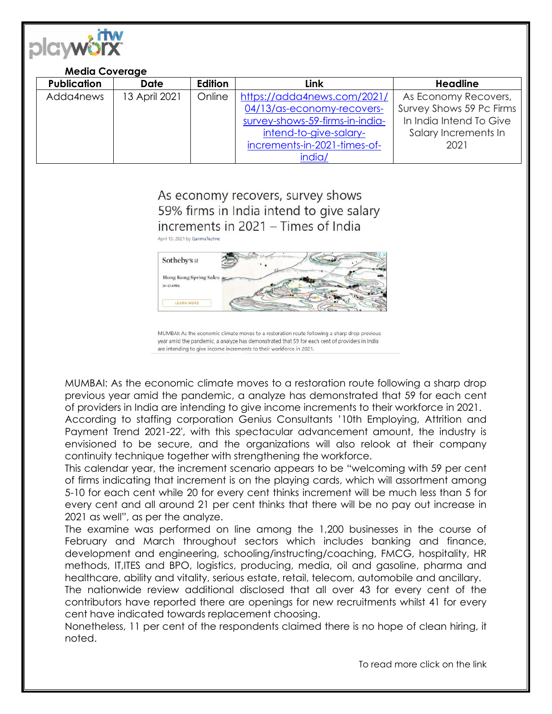

## **Media Coverage**

| <b>Publication</b> | <b>Date</b>   | Edition | Link                            | <b>Headline</b>          |
|--------------------|---------------|---------|---------------------------------|--------------------------|
| Adda4news          | 13 April 2021 | Online  | https://adda4news.com/2021/     | As Economy Recovers,     |
|                    |               |         | 04/13/as-economy-recovers-      | Survey Shows 59 Pc Firms |
|                    |               |         | survey-shows-59-firms-in-india- | In India Intend To Give  |
|                    |               |         | intend-to-give-salary-          | Salary Increments In     |
|                    |               |         | increments-in-2021-times-of-    | 2021                     |
|                    |               |         | india                           |                          |

As economy recovers, survey shows 59% firms in India intend to give salary increments in 2021 – Times of India April 13. 2021 by GarimaTechno



MUMBAI: As the economic climate moves to a restoration route following a sharp drop previous vear amid the pandemic, a analyze has demonstrated that 59 for each cent of providers in India are intending to give income increments to their workforce in 2021.

MUMBAI: As the economic climate moves to a restoration route following a sharp drop previous year amid the pandemic, a analyze has demonstrated that 59 for each cent of providers in India are intending to give income increments to their workforce in 2021.

According to staffing corporation Genius Consultants '10th Employing, Attrition and Payment Trend 2021-22′, with this spectacular advancement amount, the industry is envisioned to be secure, and the organizations will also relook at their company continuity technique together with strengthening the workforce.

This calendar year, the increment scenario appears to be "welcoming with 59 per cent of firms indicating that increment is on the playing cards, which will assortment among 5-10 for each cent while 20 for every cent thinks increment will be much less than 5 for every cent and all around 21 per cent thinks that there will be no pay out increase in 2021 as well", as per the analyze.

The examine was performed on line among the 1,200 businesses in the course of February and March throughout sectors which includes banking and finance, development and engineering, schooling/instructing/coaching, FMCG, hospitality, HR methods, IT,ITES and BPO, logistics, producing, media, oil and gasoline, pharma and healthcare, ability and vitality, serious estate, retail, telecom, automobile and ancillary.

The nationwide review additional disclosed that all over 43 for every cent of the contributors have reported there are openings for new recruitments whilst 41 for every cent have indicated towards replacement choosing.

Nonetheless, 11 per cent of the respondents claimed there is no hope of clean hiring, it noted.

To read more click on the link